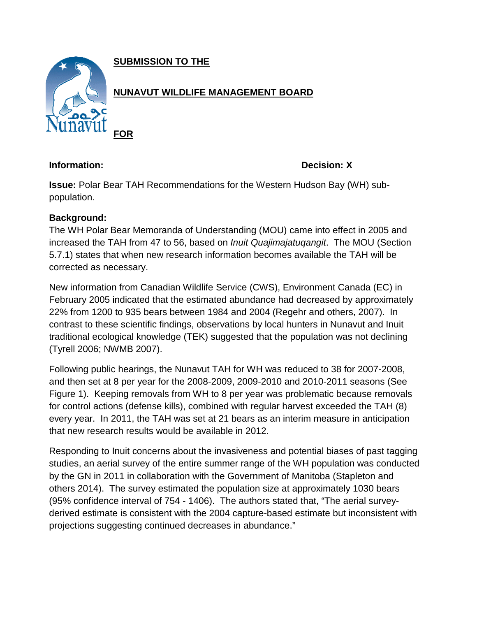**SUBMISSION TO THE**



**Information: Decision: X**

**Issue:** Polar Bear TAH Recommendations for the Western Hudson Bay (WH) subpopulation.

# **Background:**

The WH Polar Bear Memoranda of Understanding (MOU) came into effect in 2005 and increased the TAH from 47 to 56, based on *Inuit Quajimajatuqangit*. The MOU (Section 5.7.1) states that when new research information becomes available the TAH will be corrected as necessary.

New information from Canadian Wildlife Service (CWS), Environment Canada (EC) in February 2005 indicated that the estimated abundance had decreased by approximately 22% from 1200 to 935 bears between 1984 and 2004 (Regehr and others, 2007). In contrast to these scientific findings, observations by local hunters in Nunavut and Inuit traditional ecological knowledge (TEK) suggested that the population was not declining (Tyrell 2006; NWMB 2007).

Following public hearings, the Nunavut TAH for WH was reduced to 38 for 2007-2008, and then set at 8 per year for the 2008-2009, 2009-2010 and 2010-2011 seasons (See Figure 1). Keeping removals from WH to 8 per year was problematic because removals for control actions (defense kills), combined with regular harvest exceeded the TAH (8) every year. In 2011, the TAH was set at 21 bears as an interim measure in anticipation that new research results would be available in 2012.

Responding to Inuit concerns about the invasiveness and potential biases of past tagging studies, an aerial survey of the entire summer range of the WH population was conducted by the GN in 2011 in collaboration with the Government of Manitoba (Stapleton and others 2014). The survey estimated the population size at approximately 1030 bears (95% confidence interval of 754 - 1406). The authors stated that, "The aerial surveyderived estimate is consistent with the 2004 capture-based estimate but inconsistent with projections suggesting continued decreases in abundance."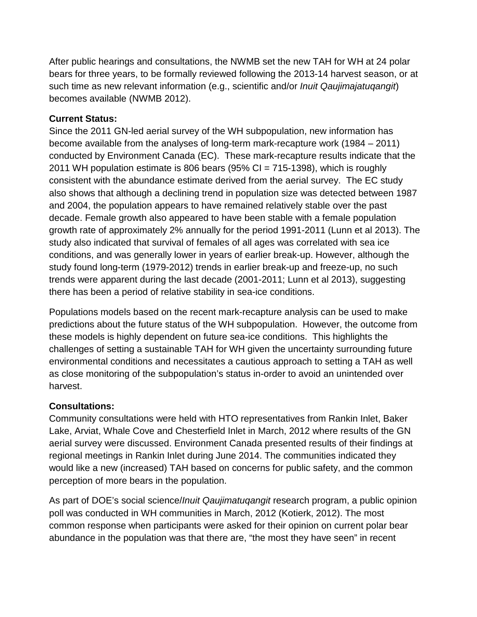After public hearings and consultations, the NWMB set the new TAH for WH at 24 polar bears for three years, to be formally reviewed following the 2013-14 harvest season, or at such time as new relevant information (e.g., scientific and/or *Inuit Qaujimajatuqangit*) becomes available (NWMB 2012).

## **Current Status:**

Since the 2011 GN-led aerial survey of the WH subpopulation, new information has become available from the analyses of long-term mark-recapture work (1984 – 2011) conducted by Environment Canada (EC). These mark-recapture results indicate that the 2011 WH population estimate is 806 bears (95% CI = 715-1398), which is roughly consistent with the abundance estimate derived from the aerial survey. The EC study also shows that although a declining trend in population size was detected between 1987 and 2004, the population appears to have remained relatively stable over the past decade. Female growth also appeared to have been stable with a female population growth rate of approximately 2% annually for the period 1991-2011 (Lunn et al 2013). The study also indicated that survival of females of all ages was correlated with sea ice conditions, and was generally lower in years of earlier break-up. However, although the study found long-term (1979-2012) trends in earlier break-up and freeze-up, no such trends were apparent during the last decade (2001-2011; Lunn et al 2013), suggesting there has been a period of relative stability in sea-ice conditions.

Populations models based on the recent mark-recapture analysis can be used to make predictions about the future status of the WH subpopulation. However, the outcome from these models is highly dependent on future sea-ice conditions. This highlights the challenges of setting a sustainable TAH for WH given the uncertainty surrounding future environmental conditions and necessitates a cautious approach to setting a TAH as well as close monitoring of the subpopulation's status in-order to avoid an unintended over harvest.

## **Consultations:**

Community consultations were held with HTO representatives from Rankin Inlet, Baker Lake, Arviat, Whale Cove and Chesterfield Inlet in March, 2012 where results of the GN aerial survey were discussed. Environment Canada presented results of their findings at regional meetings in Rankin Inlet during June 2014. The communities indicated they would like a new (increased) TAH based on concerns for public safety, and the common perception of more bears in the population.

As part of DOE's social science/*Inuit Qaujimatuqangit* research program, a public opinion poll was conducted in WH communities in March, 2012 (Kotierk, 2012). The most common response when participants were asked for their opinion on current polar bear abundance in the population was that there are, "the most they have seen" in recent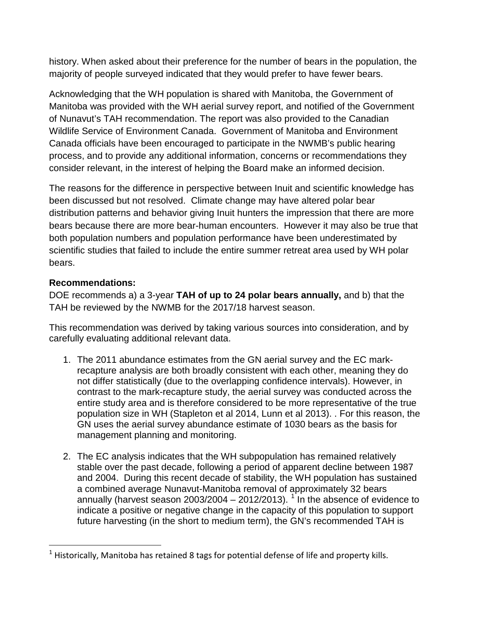history. When asked about their preference for the number of bears in the population, the majority of people surveyed indicated that they would prefer to have fewer bears.

Acknowledging that the WH population is shared with Manitoba, the Government of Manitoba was provided with the WH aerial survey report, and notified of the Government of Nunavut's TAH recommendation. The report was also provided to the Canadian Wildlife Service of Environment Canada. Government of Manitoba and Environment Canada officials have been encouraged to participate in the NWMB's public hearing process, and to provide any additional information, concerns or recommendations they consider relevant, in the interest of helping the Board make an informed decision.

The reasons for the difference in perspective between Inuit and scientific knowledge has been discussed but not resolved. Climate change may have altered polar bear distribution patterns and behavior giving Inuit hunters the impression that there are more bears because there are more bear-human encounters. However it may also be true that both population numbers and population performance have been underestimated by scientific studies that failed to include the entire summer retreat area used by WH polar bears.

## **Recommendations:**

 $\overline{\phantom{a}}$ 

DOE recommends a) a 3-year **TAH of up to 24 polar bears annually,** and b) that the TAH be reviewed by the NWMB for the 2017/18 harvest season.

This recommendation was derived by taking various sources into consideration, and by carefully evaluating additional relevant data.

- 1. The 2011 abundance estimates from the GN aerial survey and the EC markrecapture analysis are both broadly consistent with each other, meaning they do not differ statistically (due to the overlapping confidence intervals). However, in contrast to the mark-recapture study, the aerial survey was conducted across the entire study area and is therefore considered to be more representative of the true population size in WH (Stapleton et al 2014, Lunn et al 2013). . For this reason, the GN uses the aerial survey abundance estimate of 1030 bears as the basis for management planning and monitoring.
- 2. The EC analysis indicates that the WH subpopulation has remained relatively stable over the past decade, following a period of apparent decline between 1987 and 2004. During this recent decade of stability, the WH population has sustained a combined average Nunavut-Manitoba removal of approximately 32 bears annually (harvest season 2003/2004 – 20[1](#page-2-0)2/2013). <sup>1</sup> In the absence of evidence to indicate a positive or negative change in the capacity of this population to support future harvesting (in the short to medium term), the GN's recommended TAH is

<span id="page-2-0"></span> $<sup>1</sup>$  Historically, Manitoba has retained 8 tags for potential defense of life and property kills.</sup>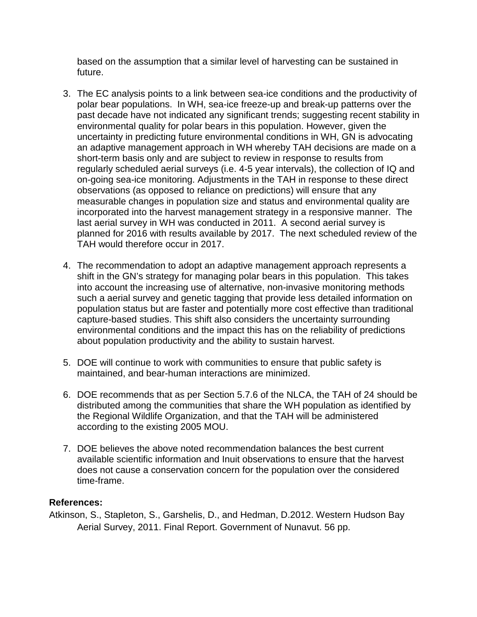based on the assumption that a similar level of harvesting can be sustained in future.

- 3. The EC analysis points to a link between sea-ice conditions and the productivity of polar bear populations. In WH, sea-ice freeze-up and break-up patterns over the past decade have not indicated any significant trends; suggesting recent stability in environmental quality for polar bears in this population. However, given the uncertainty in predicting future environmental conditions in WH, GN is advocating an adaptive management approach in WH whereby TAH decisions are made on a short-term basis only and are subject to review in response to results from regularly scheduled aerial surveys (i.e. 4-5 year intervals), the collection of IQ and on-going sea-ice monitoring. Adjustments in the TAH in response to these direct observations (as opposed to reliance on predictions) will ensure that any measurable changes in population size and status and environmental quality are incorporated into the harvest management strategy in a responsive manner. The last aerial survey in WH was conducted in 2011. A second aerial survey is planned for 2016 with results available by 2017. The next scheduled review of the TAH would therefore occur in 2017.
- 4. The recommendation to adopt an adaptive management approach represents a shift in the GN's strategy for managing polar bears in this population. This takes into account the increasing use of alternative, non-invasive monitoring methods such a aerial survey and genetic tagging that provide less detailed information on population status but are faster and potentially more cost effective than traditional capture-based studies. This shift also considers the uncertainty surrounding environmental conditions and the impact this has on the reliability of predictions about population productivity and the ability to sustain harvest.
- 5. DOE will continue to work with communities to ensure that public safety is maintained, and bear-human interactions are minimized.
- 6. DOE recommends that as per Section 5.7.6 of the NLCA, the TAH of 24 should be distributed among the communities that share the WH population as identified by the Regional Wildlife Organization, and that the TAH will be administered according to the existing 2005 MOU.
- 7. DOE believes the above noted recommendation balances the best current available scientific information and Inuit observations to ensure that the harvest does not cause a conservation concern for the population over the considered time-frame.

#### **References:**

Atkinson, S., Stapleton, S., Garshelis, D., and Hedman, D.2012. Western Hudson Bay Aerial Survey, 2011. Final Report. Government of Nunavut. 56 pp.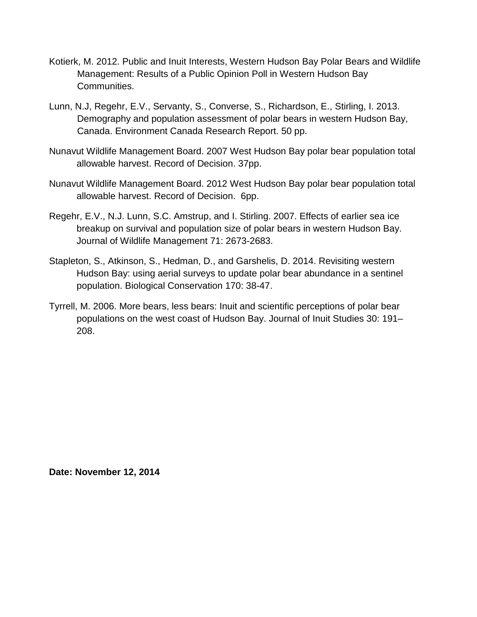- Kotierk, M. 2012. Public and Inuit Interests, Western Hudson Bay Polar Bears and Wildlife Management: Results of a Public Opinion Poll in Western Hudson Bay Communities.
- Lunn, N.J, Regehr, E.V., Servanty, S., Converse, S., Richardson, E., Stirling, I. 2013. Demography and population assessment of polar bears in western Hudson Bay, Canada. Environment Canada Research Report. 50 pp.
- Nunavut Wildlife Management Board. 2007 West Hudson Bay polar bear population total allowable harvest. Record of Decision. 37pp.
- Nunavut Wildlife Management Board. 2012 West Hudson Bay polar bear population total allowable harvest. Record of Decision. 6pp.
- Regehr, E.V., N.J. Lunn, S.C. Amstrup, and I. Stirling. 2007. Effects of earlier sea ice breakup on survival and population size of polar bears in western Hudson Bay. Journal of Wildlife Management 71: 2673-2683.
- Stapleton, S., Atkinson, S., Hedman, D., and Garshelis, D. 2014. Revisiting western Hudson Bay: using aerial surveys to update polar bear abundance in a sentinel population. Biological Conservation 170: 38-47.
- Tyrrell, M. 2006. More bears, less bears: Inuit and scientific perceptions of polar bear populations on the west coast of Hudson Bay. Journal of Inuit Studies 30: 191– 208.

**Date: November 12, 2014**